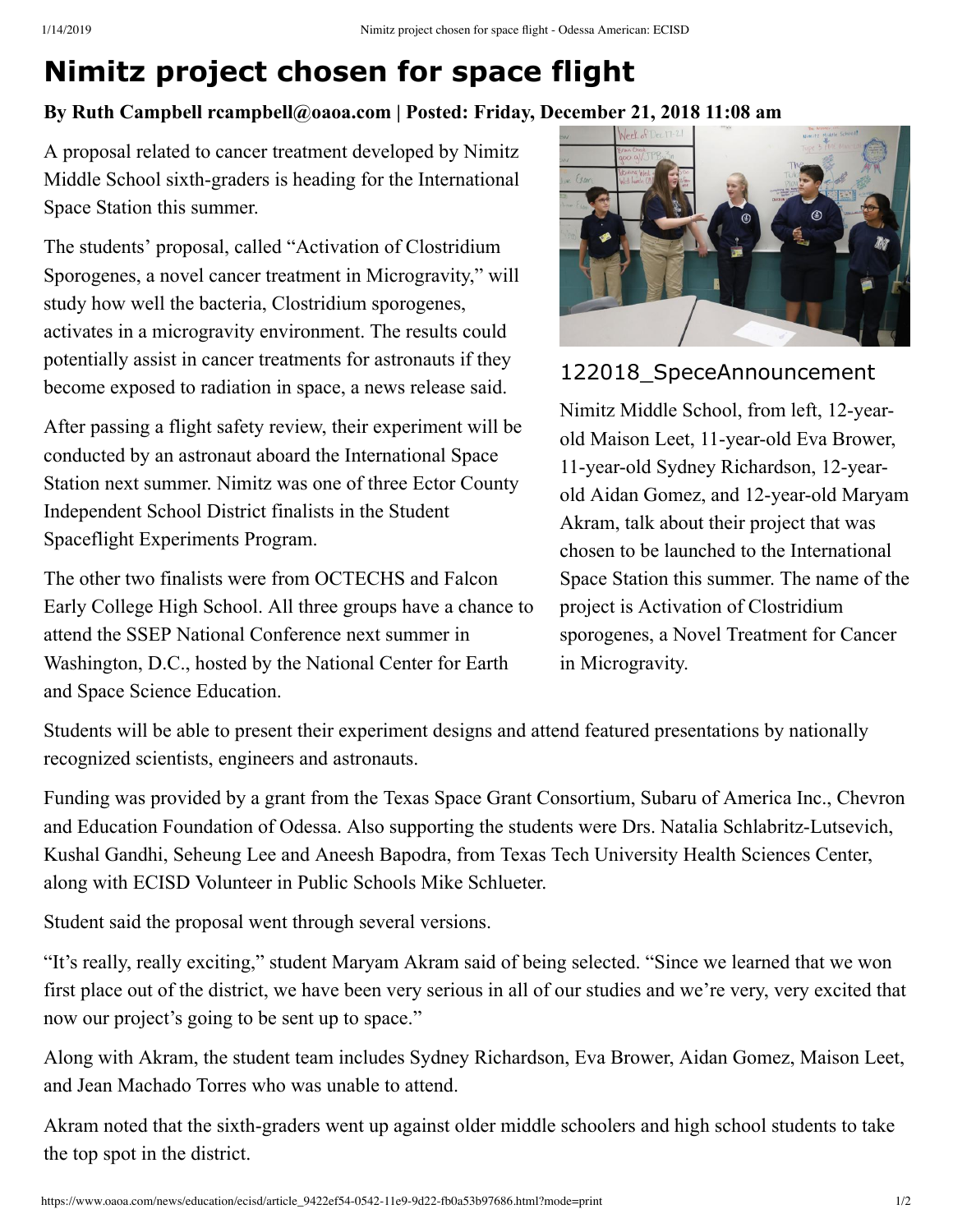## **Nimitz project chosen for space flight**

## **By Ruth Campbell rcampbell@oaoa.com | Posted: Friday, December 21, 2018 11:08 am**

A proposal related to cancer treatment developed by Nimitz Middle School sixth-graders is heading for the International Space Station this summer.

The students' proposal, called "Activation of Clostridium Sporogenes, a novel cancer treatment in Microgravity," will study how well the bacteria, Clostridium sporogenes, activates in a microgravity environment. The results could potentially assist in cancer treatments for astronauts if they become exposed to radiation in space, a news release said.

After passing a flight safety review, their experiment will be conducted by an astronaut aboard the International Space Station next summer. Nimitz was one of three Ector County Independent School District finalists in the Student Spaceflight Experiments Program.

The other two finalists were from OCTECHS and Falcon Early College High School. All three groups have a chance to attend the SSEP National Conference next summer in Washington, D.C., hosted by the National Center for Earth and Space Science Education.



122018\_SpeceAnnouncement

Nimitz Middle School, from left, 12-yearold Maison Leet, 11-year-old Eva Brower, 11-year-old Sydney Richardson, 12-yearold Aidan Gomez, and 12-year-old Maryam Akram, talk about their project that was chosen to be launched to the International Space Station this summer. The name of the project is Activation of Clostridium sporogenes, a Novel Treatment for Cancer in Microgravity.

Students will be able to present their experiment designs and attend featured presentations by nationally recognized scientists, engineers and astronauts.

Funding was provided by a grant from the Texas Space Grant Consortium, Subaru of America Inc., Chevron and Education Foundation of Odessa. Also supporting the students were Drs. Natalia Schlabritz-Lutsevich, Kushal Gandhi, Seheung Lee and Aneesh Bapodra, from Texas Tech University Health Sciences Center, along with ECISD Volunteer in Public Schools Mike Schlueter.

Student said the proposal went through several versions.

"It's really, really exciting," student Maryam Akram said of being selected. "Since we learned that we won first place out of the district, we have been very serious in all of our studies and we're very, very excited that now our project's going to be sent up to space."

Along with Akram, the student team includes Sydney Richardson, Eva Brower, Aidan Gomez, Maison Leet, and Jean Machado Torres who was unable to attend.

Akram noted that the sixth-graders went up against older middle schoolers and high school students to take the top spot in the district.